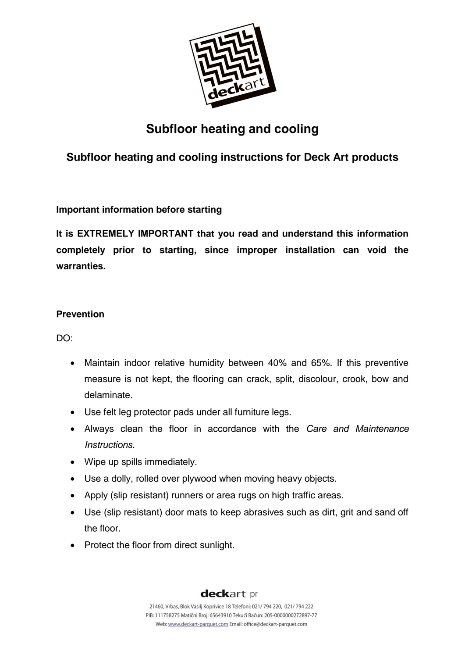

# **Subfloor heating and cooling**

# **Subfloor heating and cooling instructions for Deck Art products**

# **Important information before starting**

**It is EXTREMELY IMPORTANT that you read and understand this information completely prior to starting, since improper installation can void the warranties.**

# **Prevention**

DO:

- Maintain indoor relative humidity between 40% and 65%. If this preventive measure is not kept, the flooring can crack, split, discolour, crook, bow and delaminate.
- Use felt leg protector pads under all furniture legs.
- Always clean the floor in accordance with the *Care and Maintenance Instructions*.
- Wipe up spills immediately.
- Use a dolly, rolled over plywood when moving heavy objects.
- Apply (slip resistant) runners or area rugs on high traffic areas.
- Use (slip resistant) door mats to keep abrasives such as dirt, grit and sand off the floor.
- Protect the floor from direct sunlight.

# deckart pr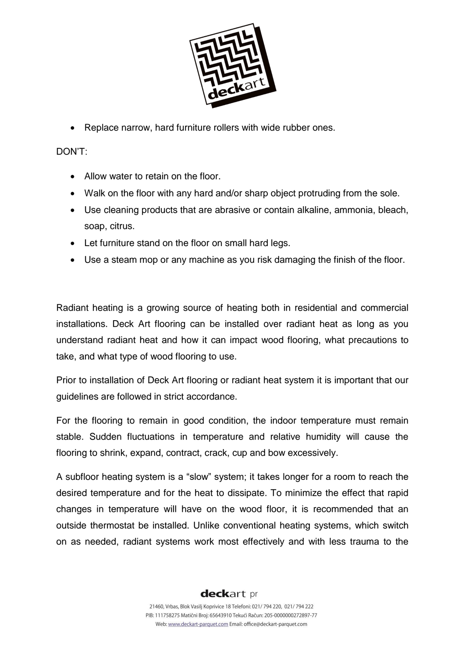

Replace narrow, hard furniture rollers with wide rubber ones.

#### DON'T:

- Allow water to retain on the floor.
- Walk on the floor with any hard and/or sharp object protruding from the sole.
- Use cleaning products that are abrasive or contain alkaline, ammonia, bleach, soap, citrus.
- Let furniture stand on the floor on small hard legs.
- Use a steam mop or any machine as you risk damaging the finish of the floor.

Radiant heating is a growing source of heating both in residential and commercial installations. Deck Art flooring can be installed over radiant heat as long as you understand radiant heat and how it can impact wood flooring, what precautions to take, and what type of wood flooring to use.

Prior to installation of Deck Art flooring or radiant heat system it is important that our guidelines are followed in strict accordance.

For the flooring to remain in good condition, the indoor temperature must remain stable. Sudden fluctuations in temperature and relative humidity will cause the flooring to shrink, expand, contract, crack, cup and bow excessively.

A subfloor heating system is a "slow" system; it takes longer for a room to reach the desired temperature and for the heat to dissipate. To minimize the effect that rapid changes in temperature will have on the wood floor, it is recommended that an outside thermostat be installed. Unlike conventional heating systems, which switch on as needed, radiant systems work most effectively and with less trauma to the

# deckart pr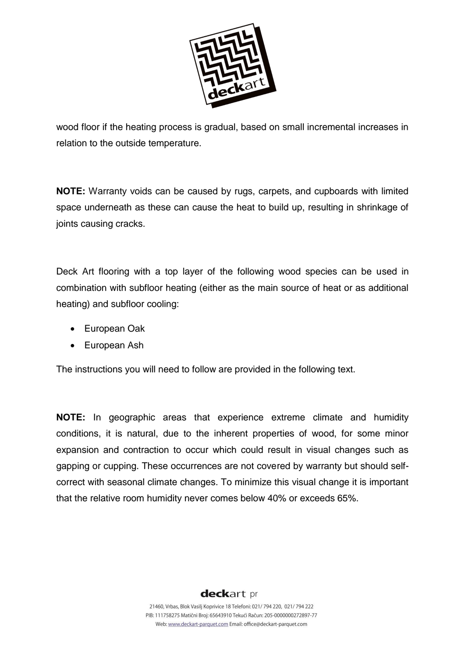

wood floor if the heating process is gradual, based on small incremental increases in relation to the outside temperature.

**NOTE:** Warranty voids can be caused by rugs, carpets, and cupboards with limited space underneath as these can cause the heat to build up, resulting in shrinkage of joints causing cracks.

Deck Art flooring with a top layer of the following wood species can be used in combination with subfloor heating (either as the main source of heat or as additional heating) and subfloor cooling:

- European Oak
- European Ash

The instructions you will need to follow are provided in the following text.

**NOTE:** In geographic areas that experience extreme climate and humidity conditions, it is natural, due to the inherent properties of wood, for some minor expansion and contraction to occur which could result in visual changes such as gapping or cupping. These occurrences are not covered by warranty but should selfcorrect with seasonal climate changes. To minimize this visual change it is important that the relative room humidity never comes below 40% or exceeds 65%.

# deckart pr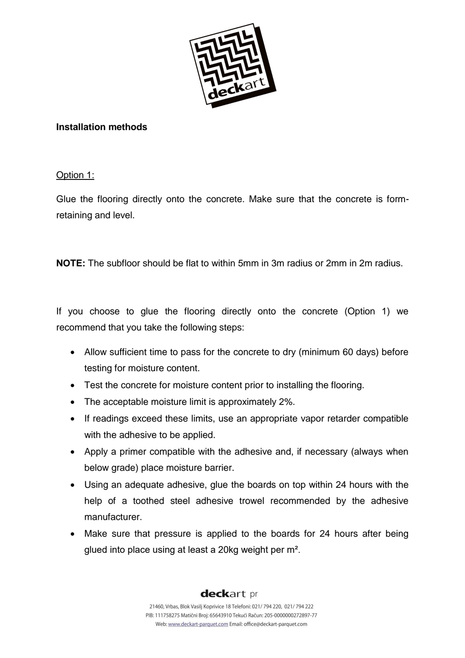

### **Installation methods**

Option 1:

Glue the flooring directly onto the concrete. Make sure that the concrete is formretaining and level.

**NOTE:** The subfloor should be flat to within 5mm in 3m radius or 2mm in 2m radius.

If you choose to glue the flooring directly onto the concrete (Option 1) we recommend that you take the following steps:

- Allow sufficient time to pass for the concrete to dry (minimum 60 days) before testing for moisture content.
- Test the concrete for moisture content prior to installing the flooring.
- The acceptable moisture limit is approximately 2%.
- If readings exceed these limits, use an appropriate vapor retarder compatible with the adhesive to be applied.
- Apply a primer compatible with the adhesive and, if necessary (always when below grade) place moisture barrier.
- Using an adequate adhesive, glue the boards on top within 24 hours with the help of a toothed steel adhesive trowel recommended by the adhesive manufacturer.
- Make sure that pressure is applied to the boards for 24 hours after being glued into place using at least a 20kg weight per m².

deckart pr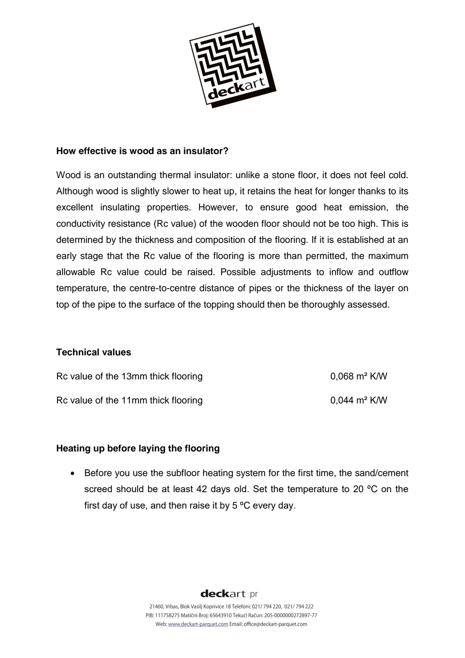

#### **How effective is wood as an insulator?**

Wood is an outstanding thermal insulator: unlike a stone floor, it does not feel cold. Although wood is slightly slower to heat up, it retains the heat for longer thanks to its excellent insulating properties. However, to ensure good heat emission, the conductivity resistance (Rc value) of the wooden floor should not be too high. This is determined by the thickness and composition of the flooring. If it is established at an early stage that the Rc value of the flooring is more than permitted, the maximum allowable Rc value could be raised. Possible adjustments to inflow and outflow temperature, the centre-to-centre distance of pipes or the thickness of the layer on top of the pipe to the surface of the topping should then be thoroughly assessed.

#### **Technical values**

| Rc value of the 13mm thick flooring | $0.068$ m <sup>2</sup> K/W          |
|-------------------------------------|-------------------------------------|
| Rc value of the 11mm thick flooring | $0.044 \; \text{m}^2 \; \text{K/W}$ |

### **Heating up before laying the flooring**

• Before you use the subfloor heating system for the first time, the sand/cement screed should be at least 42 days old. Set the temperature to 20 °C on the first day of use, and then raise it by 5 ºC every day.

deckart pr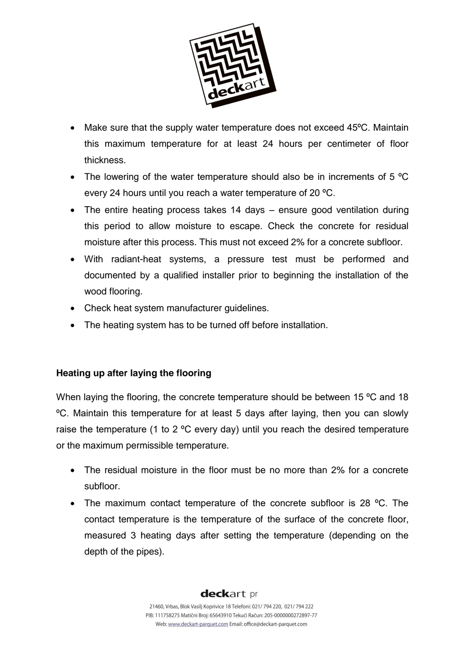

- Make sure that the supply water temperature does not exceed 45°C. Maintain this maximum temperature for at least 24 hours per centimeter of floor thickness.
- The lowering of the water temperature should also be in increments of 5  $^{\circ}C$ every 24 hours until you reach a water temperature of 20 ºC.
- The entire heating process takes 14 days ensure good ventilation during this period to allow moisture to escape. Check the concrete for residual moisture after this process. This must not exceed 2% for a concrete subfloor.
- With radiant-heat systems, a pressure test must be performed and documented by a qualified installer prior to beginning the installation of the wood flooring.
- Check heat system manufacturer guidelines.
- The heating system has to be turned off before installation.

# **Heating up after laying the flooring**

When laying the flooring, the concrete temperature should be between 15 °C and 18 ºC. Maintain this temperature for at least 5 days after laying, then you can slowly raise the temperature (1 to 2 ºC every day) until you reach the desired temperature or the maximum permissible temperature.

- The residual moisture in the floor must be no more than 2% for a concrete subfloor.
- The maximum contact temperature of the concrete subfloor is 28 °C. The contact temperature is the temperature of the surface of the concrete floor, measured 3 heating days after setting the temperature (depending on the depth of the pipes).

# deckart pr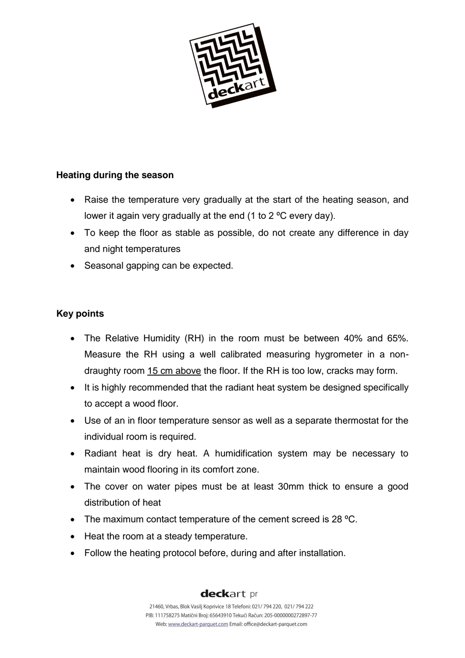

# **Heating during the season**

- Raise the temperature very gradually at the start of the heating season, and lower it again very gradually at the end (1 to 2 ºC every day).
- To keep the floor as stable as possible, do not create any difference in day and night temperatures
- Seasonal gapping can be expected.

# **Key points**

- The Relative Humidity (RH) in the room must be between 40% and 65%. Measure the RH using a well calibrated measuring hygrometer in a nondraughty room 15 cm above the floor. If the RH is too low, cracks may form.
- It is highly recommended that the radiant heat system be designed specifically to accept a wood floor.
- Use of an in floor temperature sensor as well as a separate thermostat for the individual room is required.
- Radiant heat is dry heat. A humidification system may be necessary to maintain wood flooring in its comfort zone.
- The cover on water pipes must be at least 30mm thick to ensure a good distribution of heat
- The maximum contact temperature of the cement screed is 28 °C.
- Heat the room at a steady temperature.
- Follow the heating protocol before, during and after installation.

# deckart pr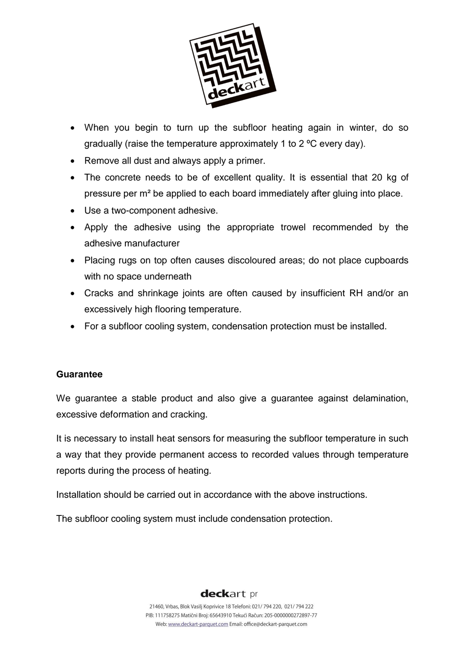

- When you begin to turn up the subfloor heating again in winter, do so gradually (raise the temperature approximately 1 to 2 ºC every day).
- Remove all dust and always apply a primer.
- The concrete needs to be of excellent quality. It is essential that 20 kg of pressure per m² be applied to each board immediately after gluing into place.
- Use a two-component adhesive.
- Apply the adhesive using the appropriate trowel recommended by the adhesive manufacturer
- Placing rugs on top often causes discoloured areas; do not place cupboards with no space underneath
- Cracks and shrinkage joints are often caused by insufficient RH and/or an excessively high flooring temperature.
- For a subfloor cooling system, condensation protection must be installed.

### **Guarantee**

We guarantee a stable product and also give a guarantee against delamination, excessive deformation and cracking.

It is necessary to install heat sensors for measuring the subfloor temperature in such a way that they provide permanent access to recorded values through temperature reports during the process of heating.

Installation should be carried out in accordance with the above instructions.

The subfloor cooling system must include condensation protection.

# deckart pr